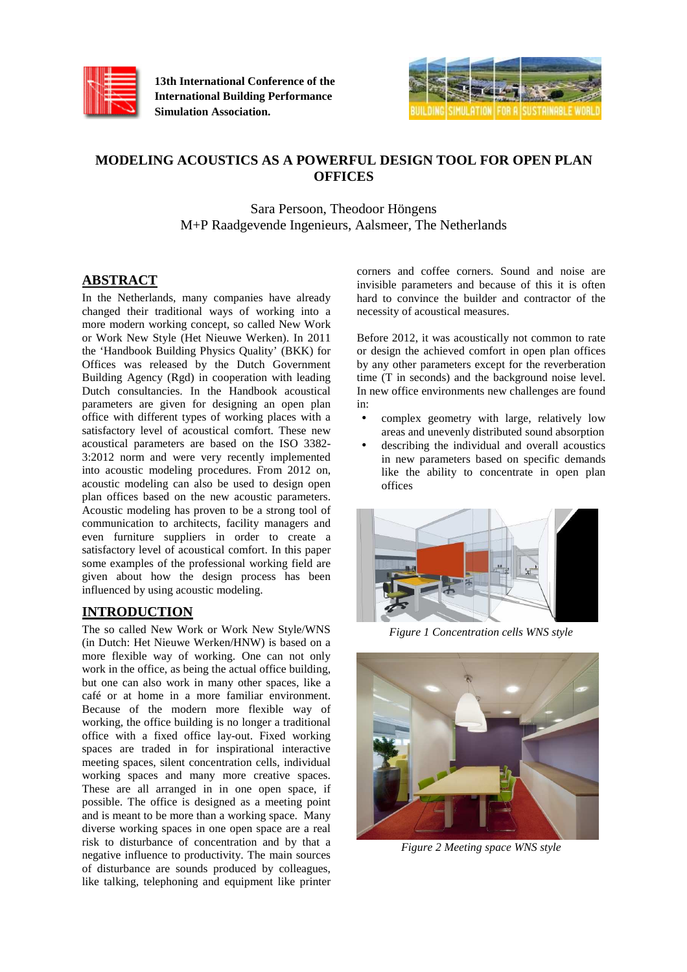

**13th International Conference of the International Building Performance Simulation Association.**



# **MODELING ACOUSTICS AS A POWERFUL DESIGN TOOL FOR OPEN PLAN OFFICES**

Sara Persoon, Theodoor Höngens M+P Raadgevende Ingenieurs, Aalsmeer, The Netherlands

# **ABSTRACT**

In the Netherlands, many companies have already changed their traditional ways of working into a more modern working concept, so called New Work or Work New Style (Het Nieuwe Werken). In 2011 the 'Handbook Building Physics Quality' (BKK) for Offices was released by the Dutch Government Building Agency (Rgd) in cooperation with leading Dutch consultancies. In the Handbook acoustical parameters are given for designing an open plan office with different types of working places with a satisfactory level of acoustical comfort. These new acoustical parameters are based on the ISO 3382- 3:2012 norm and were very recently implemented into acoustic modeling procedures. From 2012 on, acoustic modeling can also be used to design open plan offices based on the new acoustic parameters. Acoustic modeling has proven to be a strong tool of communication to architects, facility managers and even furniture suppliers in order to create a satisfactory level of acoustical comfort. In this paper some examples of the professional working field are given about how the design process has been influenced by using acoustic modeling.

# **INTRODUCTION**

The so called New Work or Work New Style/WNS (in Dutch: Het Nieuwe Werken/HNW) is based on a more flexible way of working. One can not only work in the office, as being the actual office building, but one can also work in many other spaces, like a café or at home in a more familiar environment. Because of the modern more flexible way of working, the office building is no longer a traditional office with a fixed office lay-out. Fixed working spaces are traded in for inspirational interactive meeting spaces, silent concentration cells, individual working spaces and many more creative spaces. These are all arranged in in one open space, if possible. The office is designed as a meeting point and is meant to be more than a working space. Many diverse working spaces in one open space are a real risk to disturbance of concentration and by that a negative influence to productivity. The main sources of disturbance are sounds produced by colleagues, like talking, telephoning and equipment like printer

corners and coffee corners. Sound and noise are invisible parameters and because of this it is often hard to convince the builder and contractor of the necessity of acoustical measures.

Before 2012, it was acoustically not common to rate or design the achieved comfort in open plan offices by any other parameters except for the reverberation time (T in seconds) and the background noise level. In new office environments new challenges are found in:

- complex geometry with large, relatively low areas and unevenly distributed sound absorption
- describing the individual and overall acoustics in new parameters based on specific demands like the ability to concentrate in open plan offices



*Figure 1 Concentration cells WNS style* 



*Figure 2 Meeting space WNS style*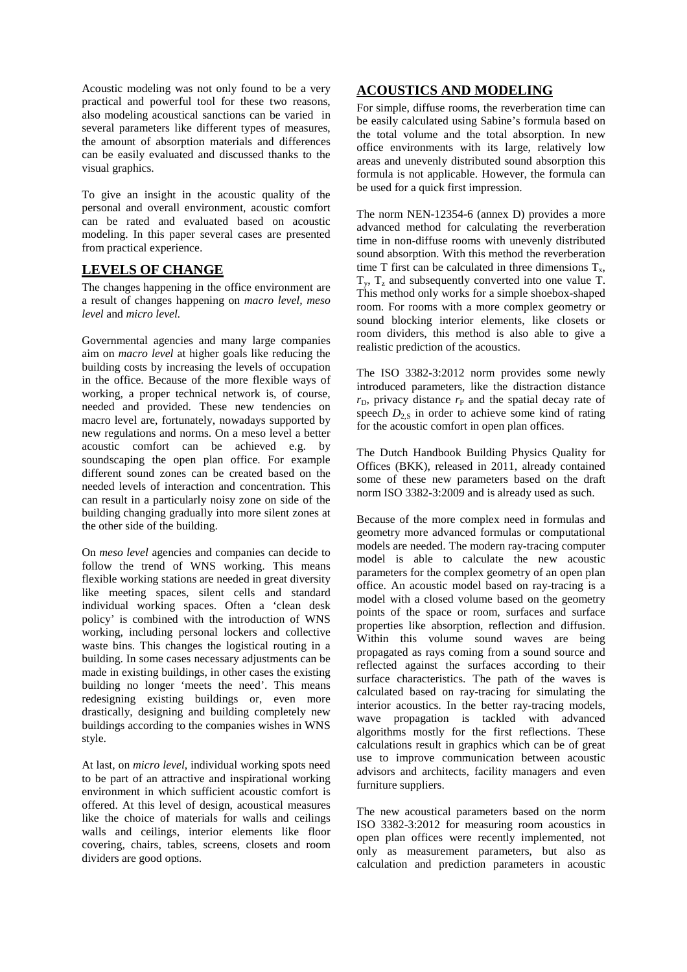Acoustic modeling was not only found to be a very practical and powerful tool for these two reasons, also modeling acoustical sanctions can be varied in several parameters like different types of measures, the amount of absorption materials and differences can be easily evaluated and discussed thanks to the visual graphics.

To give an insight in the acoustic quality of the personal and overall environment, acoustic comfort can be rated and evaluated based on acoustic modeling. In this paper several cases are presented from practical experience.

# **LEVELS OF CHANGE**

The changes happening in the office environment are a result of changes happening on *macro level, meso level* and *micro level.* 

Governmental agencies and many large companies aim on *macro level* at higher goals like reducing the building costs by increasing the levels of occupation in the office. Because of the more flexible ways of working, a proper technical network is, of course, needed and provided. These new tendencies on macro level are, fortunately, nowadays supported by new regulations and norms. On a meso level a better acoustic comfort can be achieved e.g. by soundscaping the open plan office. For example different sound zones can be created based on the needed levels of interaction and concentration. This can result in a particularly noisy zone on side of the building changing gradually into more silent zones at the other side of the building.

On *meso level* agencies and companies can decide to follow the trend of WNS working. This means flexible working stations are needed in great diversity like meeting spaces, silent cells and standard individual working spaces. Often a 'clean desk policy' is combined with the introduction of WNS working, including personal lockers and collective waste bins. This changes the logistical routing in a building. In some cases necessary adjustments can be made in existing buildings, in other cases the existing building no longer 'meets the need'. This means redesigning existing buildings or, even more drastically, designing and building completely new buildings according to the companies wishes in WNS style.

At last, on *micro level*, individual working spots need to be part of an attractive and inspirational working environment in which sufficient acoustic comfort is offered. At this level of design, acoustical measures like the choice of materials for walls and ceilings walls and ceilings, interior elements like floor covering, chairs, tables, screens, closets and room dividers are good options.

## **ACOUSTICS AND MODELING**

For simple, diffuse rooms, the reverberation time can be easily calculated using Sabine's formula based on the total volume and the total absorption. In new office environments with its large, relatively low areas and unevenly distributed sound absorption this formula is not applicable. However, the formula can be used for a quick first impression.

The norm NEN-12354-6 (annex D) provides a more advanced method for calculating the reverberation time in non-diffuse rooms with unevenly distributed sound absorption. With this method the reverberation time T first can be calculated in three dimensions  $T_x$ ,  $T_y$ ,  $T_z$  and subsequently converted into one value T. This method only works for a simple shoebox-shaped room. For rooms with a more complex geometry or sound blocking interior elements, like closets or room dividers, this method is also able to give a realistic prediction of the acoustics.

The ISO 3382-3:2012 norm provides some newly introduced parameters, like the distraction distance  $r<sub>D</sub>$ , privacy distance  $r<sub>P</sub>$  and the spatial decay rate of speech  $D_{2S}$  in order to achieve some kind of rating for the acoustic comfort in open plan offices.

The Dutch Handbook Building Physics Quality for Offices (BKK), released in 2011, already contained some of these new parameters based on the draft norm ISO 3382-3:2009 and is already used as such.

Because of the more complex need in formulas and geometry more advanced formulas or computational models are needed. The modern ray-tracing computer model is able to calculate the new acoustic parameters for the complex geometry of an open plan office. An acoustic model based on ray-tracing is a model with a closed volume based on the geometry points of the space or room, surfaces and surface properties like absorption, reflection and diffusion. Within this volume sound waves are being propagated as rays coming from a sound source and reflected against the surfaces according to their surface characteristics. The path of the waves is calculated based on ray-tracing for simulating the interior acoustics. In the better ray-tracing models, wave propagation is tackled with advanced algorithms mostly for the first reflections. These calculations result in graphics which can be of great use to improve communication between acoustic advisors and architects, facility managers and even furniture suppliers.

The new acoustical parameters based on the norm ISO 3382-3:2012 for measuring room acoustics in open plan offices were recently implemented, not only as measurement parameters, but also as calculation and prediction parameters in acoustic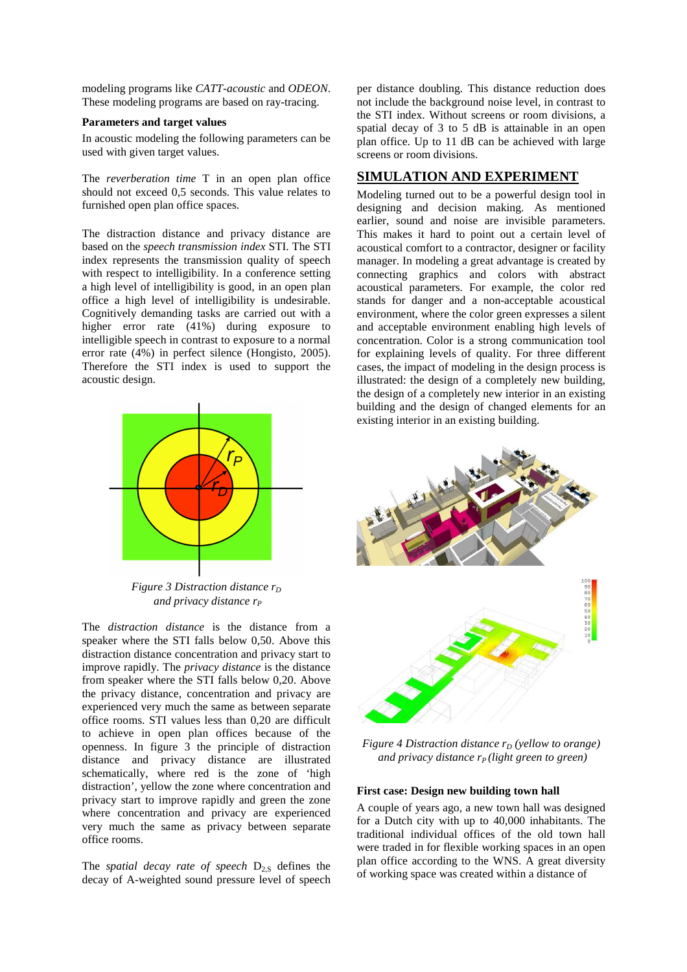modeling programs like *CATT-acoustic* and *ODEON*. These modeling programs are based on ray-tracing.

### **Parameters and target values**

In acoustic modeling the following parameters can be used with given target values.

The *reverberation time* T in an open plan office should not exceed 0,5 seconds. This value relates to furnished open plan office spaces.

The distraction distance and privacy distance are based on the *speech transmission index* STI. The STI index represents the transmission quality of speech with respect to intelligibility. In a conference setting a high level of intelligibility is good, in an open plan office a high level of intelligibility is undesirable. Cognitively demanding tasks are carried out with a higher error rate (41%) during exposure to intelligible speech in contrast to exposure to a normal error rate (4%) in perfect silence (Hongisto, 2005). Therefore the STI index is used to support the acoustic design.



*Figure 3 Distraction distance r<sub>D</sub> and privacy distance r<sup>P</sup>*

The *distraction distance* is the distance from a speaker where the STI falls below 0,50. Above this distraction distance concentration and privacy start to improve rapidly. The *privacy distance* is the distance from speaker where the STI falls below 0,20. Above the privacy distance, concentration and privacy are experienced very much the same as between separate office rooms. STI values less than 0,20 are difficult to achieve in open plan offices because of the openness. In figure 3 the principle of distraction distance and privacy distance are illustrated schematically, where red is the zone of 'high distraction', yellow the zone where concentration and privacy start to improve rapidly and green the zone where concentration and privacy are experienced very much the same as privacy between separate office rooms.

The *spatial decay rate of speech*  $D_{2,S}$  defines the decay of A-weighted sound pressure level of speech

per distance doubling. This distance reduction does not include the background noise level, in contrast to the STI index. Without screens or room divisions, a spatial decay of 3 to 5 dB is attainable in an open plan office. Up to 11 dB can be achieved with large screens or room divisions.

## **SIMULATION AND EXPERIMENT**

Modeling turned out to be a powerful design tool in designing and decision making. As mentioned earlier, sound and noise are invisible parameters. This makes it hard to point out a certain level of acoustical comfort to a contractor, designer or facility manager. In modeling a great advantage is created by connecting graphics and colors with abstract acoustical parameters. For example, the color red stands for danger and a non-acceptable acoustical environment, where the color green expresses a silent and acceptable environment enabling high levels of concentration. Color is a strong communication tool for explaining levels of quality. For three different cases, the impact of modeling in the design process is illustrated: the design of a completely new building, the design of a completely new interior in an existing building and the design of changed elements for an existing interior in an existing building.



*Figure 4 Distraction distance rD (yellow to orange) and privacy distance rP (light green to green)* 

### **First case: Design new building town hall**

A couple of years ago, a new town hall was designed for a Dutch city with up to 40,000 inhabitants. The traditional individual offices of the old town hall were traded in for flexible working spaces in an open plan office according to the WNS. A great diversity of working space was created within a distance of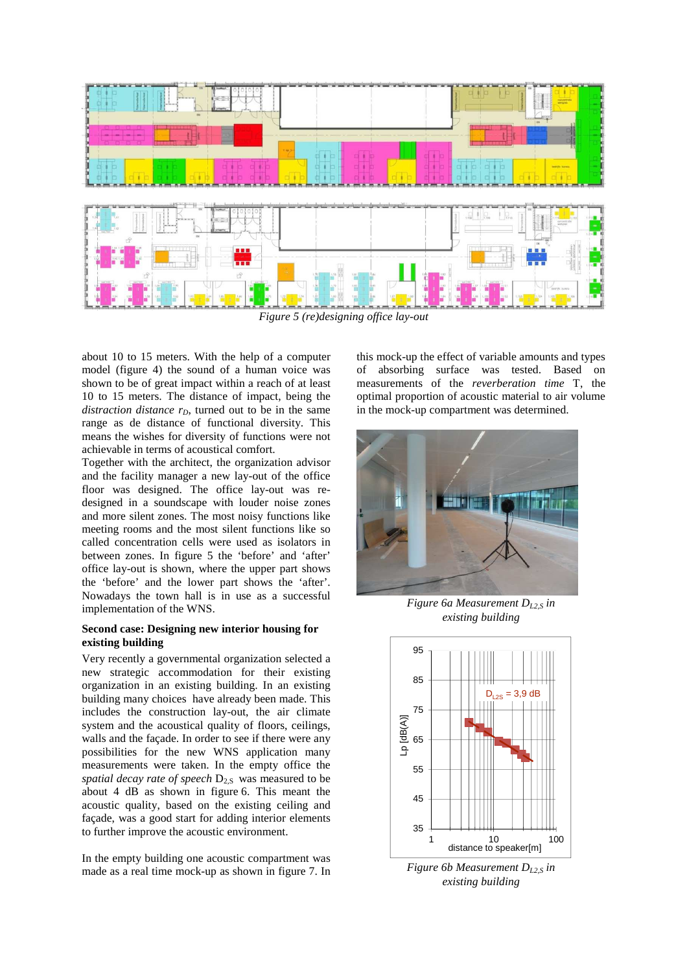

*Figure 5 (re)designing office lay-out* 

about 10 to 15 meters. With the help of a computer model (figure 4) the sound of a human voice was shown to be of great impact within a reach of at least 10 to 15 meters. The distance of impact, being the *distraction distance*  $r<sub>D</sub>$ , turned out to be in the same range as de distance of functional diversity. This means the wishes for diversity of functions were not achievable in terms of acoustical comfort.

Together with the architect, the organization advisor and the facility manager a new lay-out of the office floor was designed. The office lay-out was redesigned in a soundscape with louder noise zones and more silent zones. The most noisy functions like meeting rooms and the most silent functions like so called concentration cells were used as isolators in between zones. In figure 5 the 'before' and 'after' office lay-out is shown, where the upper part shows the 'before' and the lower part shows the 'after'. Nowadays the town hall is in use as a successful implementation of the WNS.

### **Second case: Designing new interior housing for existing building**

Very recently a governmental organization selected a new strategic accommodation for their existing organization in an existing building. In an existing building many choices have already been made. This includes the construction lay-out, the air climate system and the acoustical quality of floors, ceilings, walls and the façade. In order to see if there were any possibilities for the new WNS application many measurements were taken. In the empty office the *spatial decay rate of speech*  $D_{2,S}$  was measured to be about 4 dB as shown in figure 6. This meant the acoustic quality, based on the existing ceiling and façade, was a good start for adding interior elements to further improve the acoustic environment.

In the empty building one acoustic compartment was made as a real time mock-up as shown in figure 7. In

this mock-up the effect of variable amounts and types of absorbing surface was tested. Based on measurements of the *reverberation time* T, the optimal proportion of acoustic material to air volume in the mock-up compartment was determined.



*Figure 6a Measurement D<sub>12S</sub> in existing building* 



*Figure 6b Measurement D<sub>12</sub>s in existing building*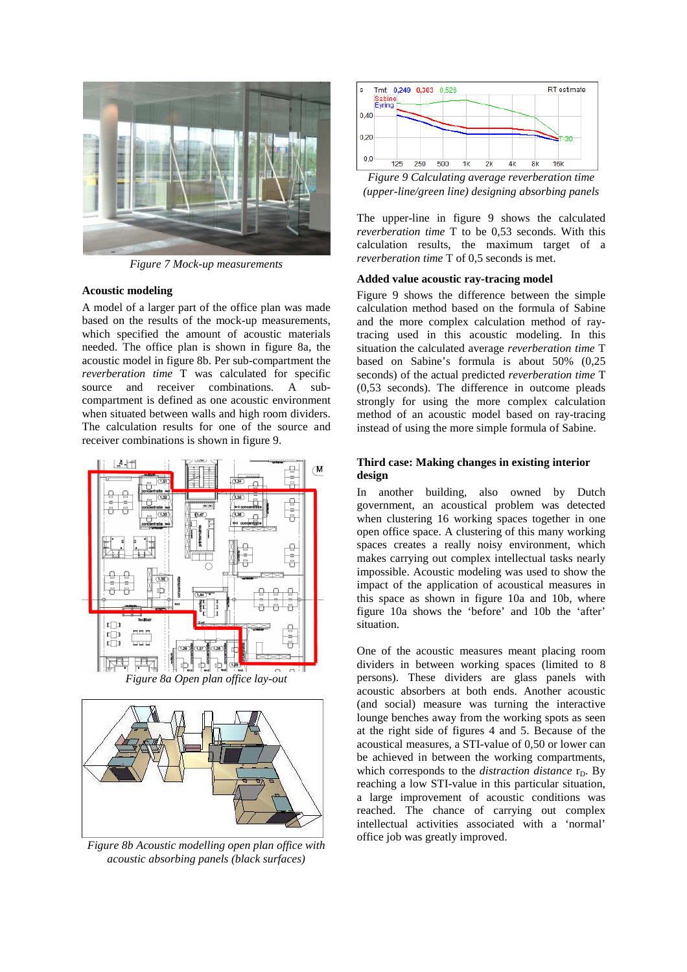

*Figure 7 Mock-up measurements*

#### **Acoustic modeling**

A model of a larger part of the office plan was made based on the results of the mock-up measurements, which specified the amount of acoustic materials needed. The office plan is shown in figure 8a, the acoustic model in figure 8b. Per sub-compartment the *reverberation time* T was calculated for specific source and receiver combinations. A subcompartment is defined as one acoustic environment when situated between walls and high room dividers. The calculation results for one of the source and receiver combinations is shown in figure 9.



*Figure 8a Open plan office lay-out* 



*Figure 8b Acoustic modelling open plan office with acoustic absorbing panels (black surfaces)* 



*Figure 9 Calculating average reverberation time (upper-line/green line) designing absorbing panels* 

The upper-line in figure 9 shows the calculated *reverberation time* T to be 0,53 seconds. With this calculation results, the maximum target of a *reverberation time* T of 0,5 seconds is met.

#### **Added value acoustic ray-tracing model**

Figure 9 shows the difference between the simple calculation method based on the formula of Sabine and the more complex calculation method of raytracing used in this acoustic modeling. In this situation the calculated average *reverberation time* T based on Sabine's formula is about 50% (0,25 seconds) of the actual predicted *reverberation time* T (0,53 seconds). The difference in outcome pleads strongly for using the more complex calculation method of an acoustic model based on ray-tracing instead of using the more simple formula of Sabine.

### **Third case: Making changes in existing interior design**

In another building, also owned by Dutch government, an acoustical problem was detected when clustering 16 working spaces together in one open office space. A clustering of this many working spaces creates a really noisy environment, which makes carrying out complex intellectual tasks nearly impossible. Acoustic modeling was used to show the impact of the application of acoustical measures in this space as shown in figure 10a and 10b, where figure 10a shows the 'before' and 10b the 'after' situation.

One of the acoustic measures meant placing room dividers in between working spaces (limited to 8 persons). These dividers are glass panels with acoustic absorbers at both ends. Another acoustic (and social) measure was turning the interactive lounge benches away from the working spots as seen at the right side of figures 4 and 5. Because of the acoustical measures, a STI-value of 0,50 or lower can be achieved in between the working compartments, which corresponds to the *distraction distance*  $r_D$ . By reaching a low STI-value in this particular situation, a large improvement of acoustic conditions was reached. The chance of carrying out complex intellectual activities associated with a 'normal' office job was greatly improved.